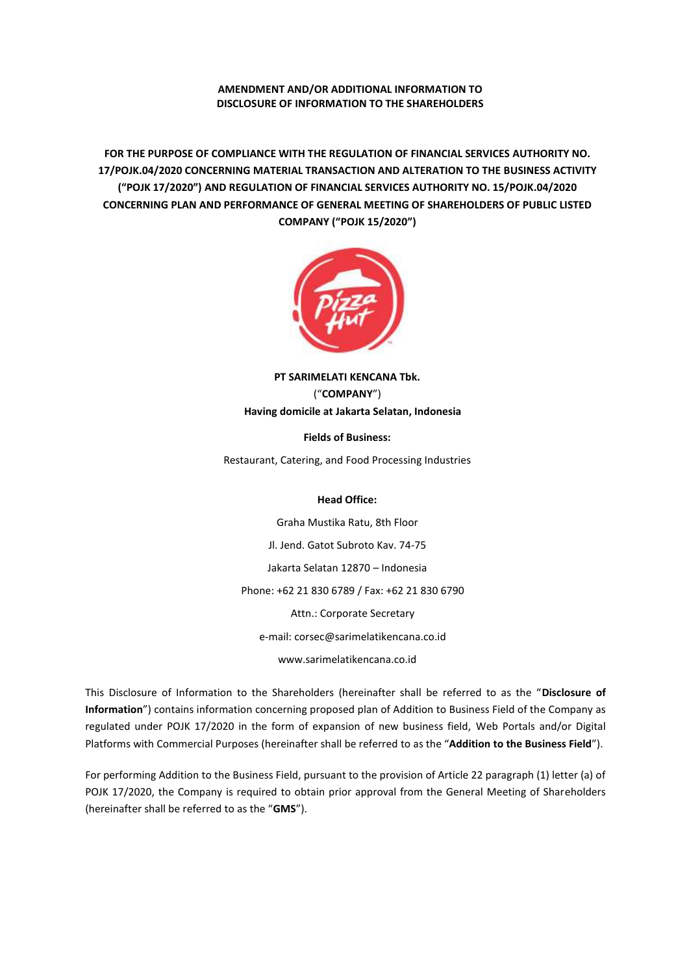# **AMENDMENT AND/OR ADDITIONAL INFORMATION TO DISCLOSURE OF INFORMATION TO THE SHAREHOLDERS**

**FOR THE PURPOSE OF COMPLIANCE WITH THE REGULATION OF FINANCIAL SERVICES AUTHORITY NO. 17/POJK.04/2020 CONCERNING MATERIAL TRANSACTION AND ALTERATION TO THE BUSINESS ACTIVITY ("POJK 17/2020") AND REGULATION OF FINANCIAL SERVICES AUTHORITY NO. 15/POJK.04/2020 CONCERNING PLAN AND PERFORMANCE OF GENERAL MEETING OF SHAREHOLDERS OF PUBLIC LISTED COMPANY ("POJK 15/2020")**



**PT SARIMELATI KENCANA Tbk.** ("**COMPANY**") **Having domicile at Jakarta Selatan, Indonesia**

**Fields of Business:**

Restaurant, Catering, and Food Processing Industries

# **Head Office:**

Graha Mustika Ratu, 8th Floor Jl. Jend. Gatot Subroto Kav. 74-75 Jakarta Selatan 12870 – Indonesia Phone: +62 21 830 6789 / Fax: +62 21 830 6790 Attn.: Corporate Secretary e-mail: corsec@sarimelatikencana.co.id www.sarimelatikencana.co.id

This Disclosure of Information to the Shareholders (hereinafter shall be referred to as the "**Disclosure of Information**") contains information concerning proposed plan of Addition to Business Field of the Company as regulated under POJK 17/2020 in the form of expansion of new business field, Web Portals and/or Digital Platforms with Commercial Purposes (hereinafter shall be referred to as the "**Addition to the Business Field**").

For performing Addition to the Business Field, pursuant to the provision of Article 22 paragraph (1) letter (a) of POJK 17/2020, the Company is required to obtain prior approval from the General Meeting of Shareholders (hereinafter shall be referred to as the "**GMS**").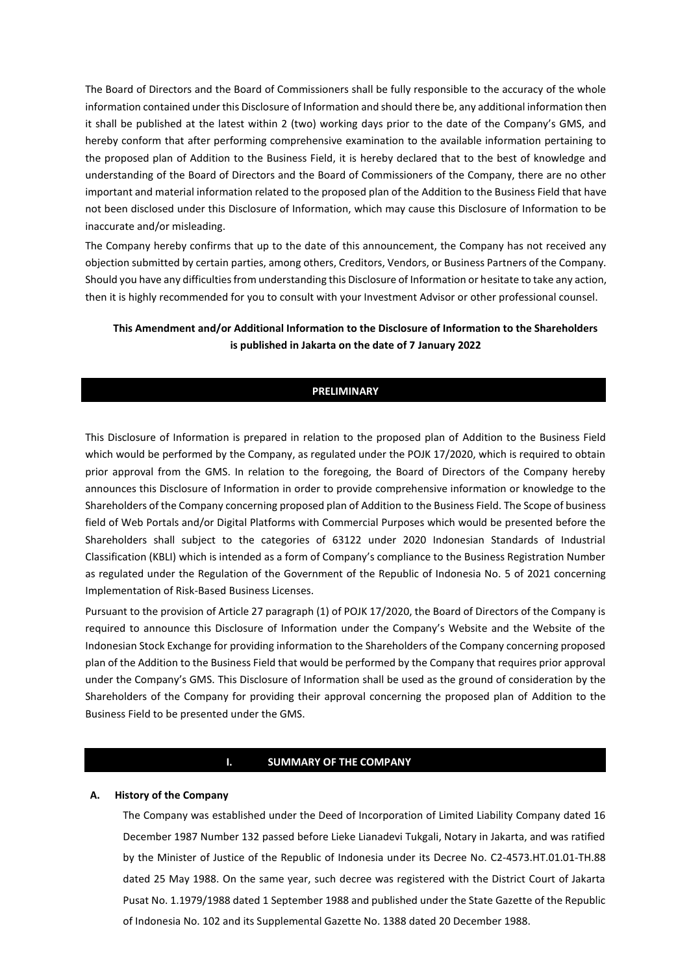The Board of Directors and the Board of Commissioners shall be fully responsible to the accuracy of the whole information contained under this Disclosure of Information and should there be, any additional information then it shall be published at the latest within 2 (two) working days prior to the date of the Company's GMS, and hereby conform that after performing comprehensive examination to the available information pertaining to the proposed plan of Addition to the Business Field, it is hereby declared that to the best of knowledge and understanding of the Board of Directors and the Board of Commissioners of the Company, there are no other important and material information related to the proposed plan of the Addition to the Business Field that have not been disclosed under this Disclosure of Information, which may cause this Disclosure of Information to be inaccurate and/or misleading.

The Company hereby confirms that up to the date of this announcement, the Company has not received any objection submitted by certain parties, among others, Creditors, Vendors, or Business Partners of the Company. Should you have any difficulties from understanding this Disclosure of Information or hesitate to take any action, then it is highly recommended for you to consult with your Investment Advisor or other professional counsel.

# **This Amendment and/or Additional Information to the Disclosure of Information to the Shareholders is published in Jakarta on the date of 7 January 2022**

# **PRELIMINARY**

This Disclosure of Information is prepared in relation to the proposed plan of Addition to the Business Field which would be performed by the Company, as regulated under the POJK 17/2020, which is required to obtain prior approval from the GMS. In relation to the foregoing, the Board of Directors of the Company hereby announces this Disclosure of Information in order to provide comprehensive information or knowledge to the Shareholders of the Company concerning proposed plan of Addition to the Business Field. The Scope of business field of Web Portals and/or Digital Platforms with Commercial Purposes which would be presented before the Shareholders shall subject to the categories of 63122 under 2020 Indonesian Standards of Industrial Classification (KBLI) which is intended as a form of Company's compliance to the Business Registration Number as regulated under the Regulation of the Government of the Republic of Indonesia No. 5 of 2021 concerning Implementation of Risk-Based Business Licenses.

Pursuant to the provision of Article 27 paragraph (1) of POJK 17/2020, the Board of Directors of the Company is required to announce this Disclosure of Information under the Company's Website and the Website of the Indonesian Stock Exchange for providing information to the Shareholders of the Company concerning proposed plan of the Addition to the Business Field that would be performed by the Company that requires prior approval under the Company's GMS. This Disclosure of Information shall be used as the ground of consideration by the Shareholders of the Company for providing their approval concerning the proposed plan of Addition to the Business Field to be presented under the GMS.

#### **I. SUMMARY OF THE COMPANY**

#### **A. History of the Company**

The Company was established under the Deed of Incorporation of Limited Liability Company dated 16 December 1987 Number 132 passed before Lieke Lianadevi Tukgali, Notary in Jakarta, and was ratified by the Minister of Justice of the Republic of Indonesia under its Decree No. C2-4573.HT.01.01-TH.88 dated 25 May 1988. On the same year, such decree was registered with the District Court of Jakarta Pusat No. 1.1979/1988 dated 1 September 1988 and published under the State Gazette of the Republic of Indonesia No. 102 and its Supplemental Gazette No. 1388 dated 20 December 1988.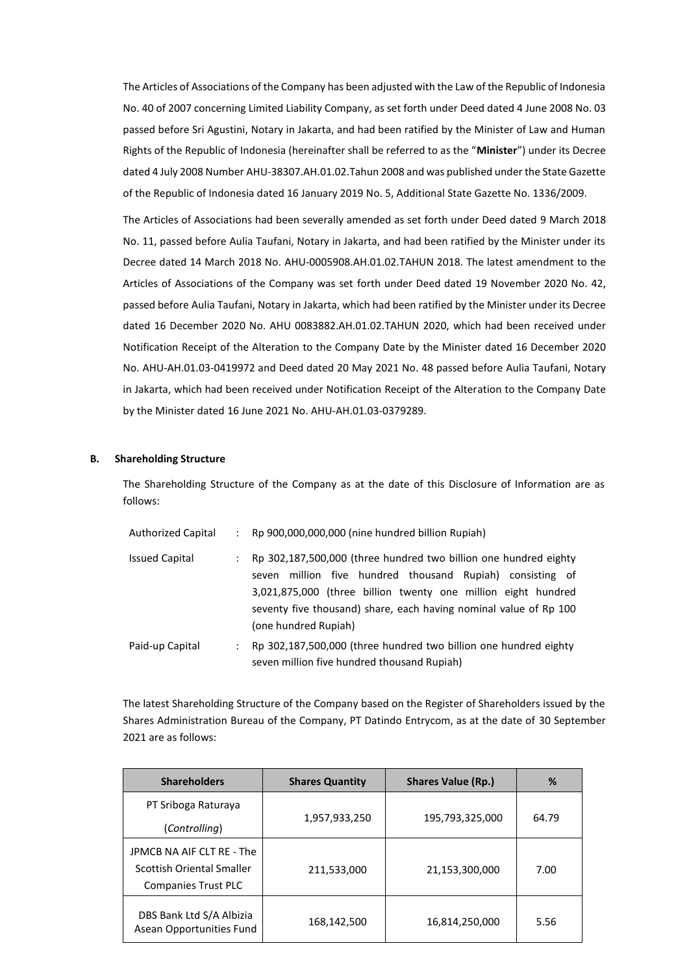The Articles of Associations of the Company has been adjusted with the Law of the Republic of Indonesia No. 40 of 2007 concerning Limited Liability Company, as set forth under Deed dated 4 June 2008 No. 03 passed before Sri Agustini, Notary in Jakarta, and had been ratified by the Minister of Law and Human Rights of the Republic of Indonesia (hereinafter shall be referred to as the "**Minister**") under its Decree dated 4 July 2008 Number AHU-38307.AH.01.02.Tahun 2008 and was published under the State Gazette of the Republic of Indonesia dated 16 January 2019 No. 5, Additional State Gazette No. 1336/2009.

The Articles of Associations had been severally amended as set forth under Deed dated 9 March 2018 No. 11, passed before Aulia Taufani, Notary in Jakarta, and had been ratified by the Minister under its Decree dated 14 March 2018 No. AHU-0005908.AH.01.02.TAHUN 2018. The latest amendment to the Articles of Associations of the Company was set forth under Deed dated 19 November 2020 No. 42, passed before Aulia Taufani, Notary in Jakarta, which had been ratified by the Minister under its Decree dated 16 December 2020 No. AHU 0083882.AH.01.02.TAHUN 2020, which had been received under Notification Receipt of the Alteration to the Company Date by the Minister dated 16 December 2020 No. AHU-AH.01.03-0419972 and Deed dated 20 May 2021 No. 48 passed before Aulia Taufani, Notary in Jakarta, which had been received under Notification Receipt of the Alteration to the Company Date by the Minister dated 16 June 2021 No. AHU-AH.01.03-0379289.

#### **B. Shareholding Structure**

The Shareholding Structure of the Company as at the date of this Disclosure of Information are as follows:

| <b>Authorized Capital</b> | Rp 900,000,000,000 (nine hundred billion Rupiah)                                                                                                                                                                                                                                               |
|---------------------------|------------------------------------------------------------------------------------------------------------------------------------------------------------------------------------------------------------------------------------------------------------------------------------------------|
| <b>Issued Capital</b>     | Rp 302,187,500,000 (three hundred two billion one hundred eighty<br>million five hundred thousand Rupiah) consisting of<br>seven<br>3,021,875,000 (three billion twenty one million eight hundred<br>seventy five thousand) share, each having nominal value of Rp 100<br>(one hundred Rupiah) |
| Paid-up Capital           | Rp 302,187,500,000 (three hundred two billion one hundred eighty<br>seven million five hundred thousand Rupiah)                                                                                                                                                                                |

The latest Shareholding Structure of the Company based on the Register of Shareholders issued by the Shares Administration Bureau of the Company, PT Datindo Entrycom, as at the date of 30 September 2021 are as follows:

| <b>Shareholders</b>                                  | <b>Shares Quantity</b> | <b>Shares Value (Rp.)</b> | %     |  |
|------------------------------------------------------|------------------------|---------------------------|-------|--|
| PT Sriboga Raturaya                                  | 1,957,933,250          | 195,793,325,000           | 64.79 |  |
| (Controlling)                                        |                        |                           |       |  |
| JPMCB NA AIF CLT RE - The                            |                        |                           |       |  |
| Scottish Oriental Smaller                            | 211,533,000            | 21,153,300,000            | 7.00  |  |
| <b>Companies Trust PLC</b>                           |                        |                           |       |  |
| DBS Bank Ltd S/A Albizia<br>Asean Opportunities Fund | 168,142,500            | 16,814,250,000            | 5.56  |  |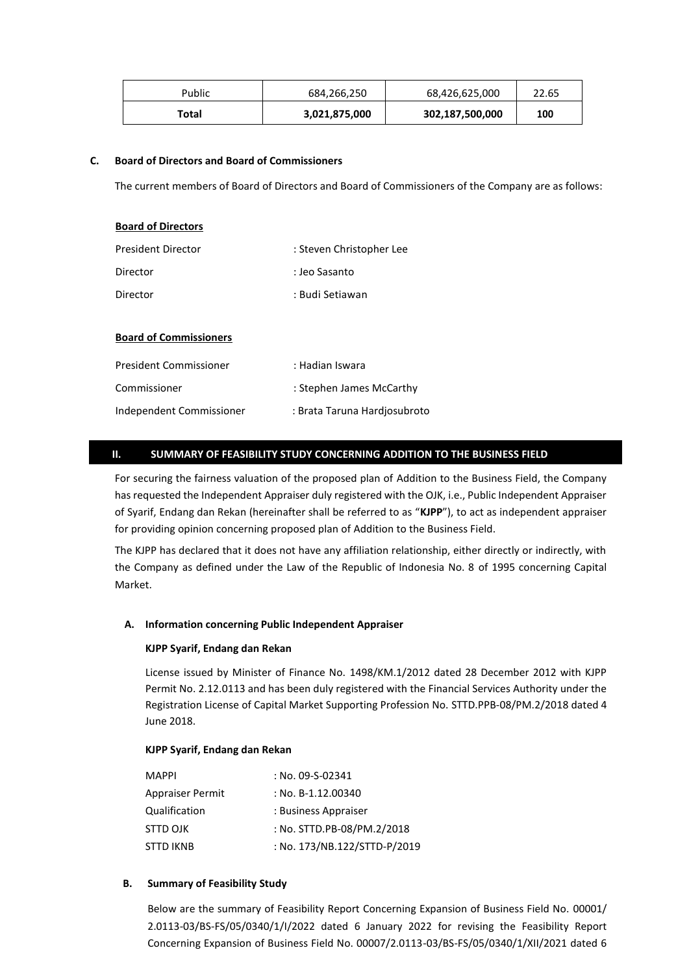| Public | 684,266,250   | 68,426,625,000  | 22.65 |
|--------|---------------|-----------------|-------|
| Total  | 3,021,875,000 | 302,187,500,000 | 100   |

# **C. Board of Directors and Board of Commissioners**

The current members of Board of Directors and Board of Commissioners of the Company are as follows:

| <b>Board of Directors</b>     |                          |
|-------------------------------|--------------------------|
| <b>President Director</b>     | : Steven Christopher Lee |
| Director                      | : Jeo Sasanto            |
| Director                      | : Budi Setiawan          |
|                               |                          |
| <b>Board of Commissioners</b> |                          |

| <b>President Commissioner</b> | : Hadian Iswara              |
|-------------------------------|------------------------------|
| Commissioner                  | : Stephen James McCarthy     |
| Independent Commissioner      | : Brata Taruna Hardiosubroto |

# **II. SUMMARY OF FEASIBILITY STUDY CONCERNING ADDITION TO THE BUSINESS FIELD**

For securing the fairness valuation of the proposed plan of Addition to the Business Field, the Company has requested the Independent Appraiser duly registered with the OJK, i.e., Public Independent Appraiser of Syarif, Endang dan Rekan (hereinafter shall be referred to as "**KJPP**"), to act as independent appraiser for providing opinion concerning proposed plan of Addition to the Business Field.

The KJPP has declared that it does not have any affiliation relationship, either directly or indirectly, with the Company as defined under the Law of the Republic of Indonesia No. 8 of 1995 concerning Capital Market.

#### **A. Information concerning Public Independent Appraiser**

#### **KJPP Syarif, Endang dan Rekan**

License issued by Minister of Finance No. 1498/KM.1/2012 dated 28 December 2012 with KJPP Permit No. 2.12.0113 and has been duly registered with the Financial Services Authority under the Registration License of Capital Market Supporting Profession No. STTD.PPB-08/PM.2/2018 dated 4 June 2018.

#### **KJPP Syarif, Endang dan Rekan**

| : No. 09-S-02341             |
|------------------------------|
| : No. B-1.12.00340           |
| : Business Appraiser         |
| : No. STTD.PB-08/PM.2/2018   |
| : No. 173/NB.122/STTD-P/2019 |
|                              |

# **B. Summary of Feasibility Study**

Below are the summary of Feasibility Report Concerning Expansion of Business Field No. 00001/ 2.0113-03/BS-FS/05/0340/1/I/2022 dated 6 January 2022 for revising the Feasibility Report Concerning Expansion of Business Field No. 00007/2.0113-03/BS-FS/05/0340/1/XII/2021 dated 6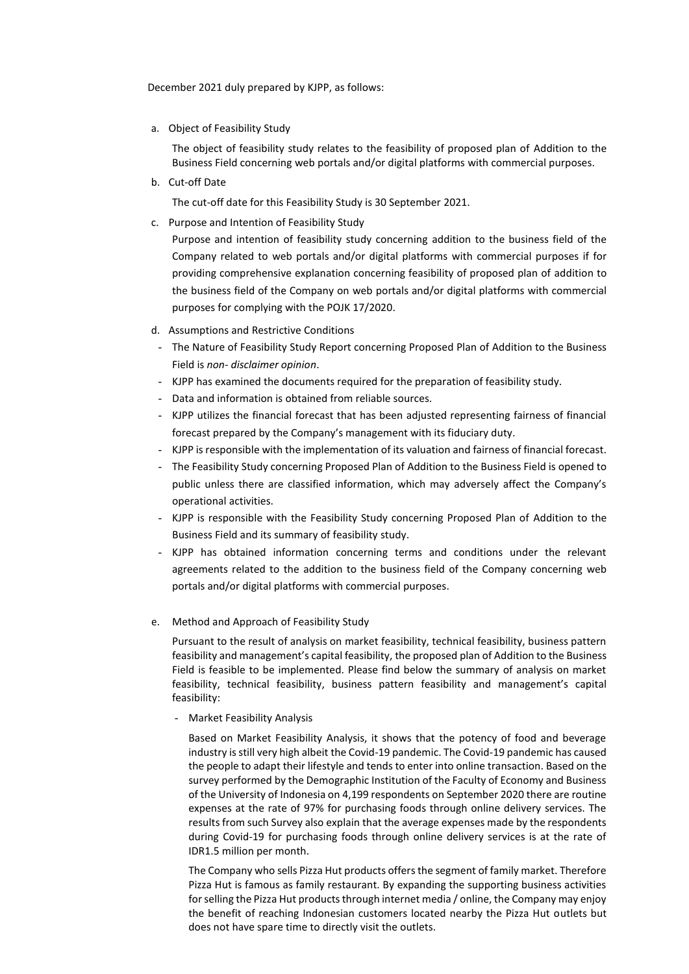December 2021 duly prepared by KJPP, as follows:

a. Object of Feasibility Study

The object of feasibility study relates to the feasibility of proposed plan of Addition to the Business Field concerning web portals and/or digital platforms with commercial purposes.

b. Cut-off Date

The cut-off date for this Feasibility Study is 30 September 2021.

c. Purpose and Intention of Feasibility Study

Purpose and intention of feasibility study concerning addition to the business field of the Company related to web portals and/or digital platforms with commercial purposes if for providing comprehensive explanation concerning feasibility of proposed plan of addition to the business field of the Company on web portals and/or digital platforms with commercial purposes for complying with the POJK 17/2020.

- d. Assumptions and Restrictive Conditions
- The Nature of Feasibility Study Report concerning Proposed Plan of Addition to the Business Field is *non- disclaimer opinion*.
- KJPP has examined the documents required for the preparation of feasibility study.
- Data and information is obtained from reliable sources.
- KJPP utilizes the financial forecast that has been adjusted representing fairness of financial forecast prepared by the Company's management with its fiduciary duty.
- KJPP is responsible with the implementation of its valuation and fairness of financial forecast.
- The Feasibility Study concerning Proposed Plan of Addition to the Business Field is opened to public unless there are classified information, which may adversely affect the Company's operational activities.
- KJPP is responsible with the Feasibility Study concerning Proposed Plan of Addition to the Business Field and its summary of feasibility study.
- KJPP has obtained information concerning terms and conditions under the relevant agreements related to the addition to the business field of the Company concerning web portals and/or digital platforms with commercial purposes.
- e. Method and Approach of Feasibility Study

Pursuant to the result of analysis on market feasibility, technical feasibility, business pattern feasibility and management's capital feasibility, the proposed plan of Addition to the Business Field is feasible to be implemented. Please find below the summary of analysis on market feasibility, technical feasibility, business pattern feasibility and management's capital feasibility:

- Market Feasibility Analysis

Based on Market Feasibility Analysis, it shows that the potency of food and beverage industry is still very high albeit the Covid-19 pandemic. The Covid-19 pandemic has caused the people to adapt their lifestyle and tends to enter into online transaction. Based on the survey performed by the Demographic Institution of the Faculty of Economy and Business of the University of Indonesia on 4,199 respondents on September 2020 there are routine expenses at the rate of 97% for purchasing foods through online delivery services. The results from such Survey also explain that the average expenses made by the respondents during Covid-19 for purchasing foods through online delivery services is at the rate of IDR1.5 million per month.

The Company who sells Pizza Hut products offers the segment of family market. Therefore Pizza Hut is famous as family restaurant. By expanding the supporting business activities for selling the Pizza Hut products through internet media / online, the Company may enjoy the benefit of reaching Indonesian customers located nearby the Pizza Hut outlets but does not have spare time to directly visit the outlets.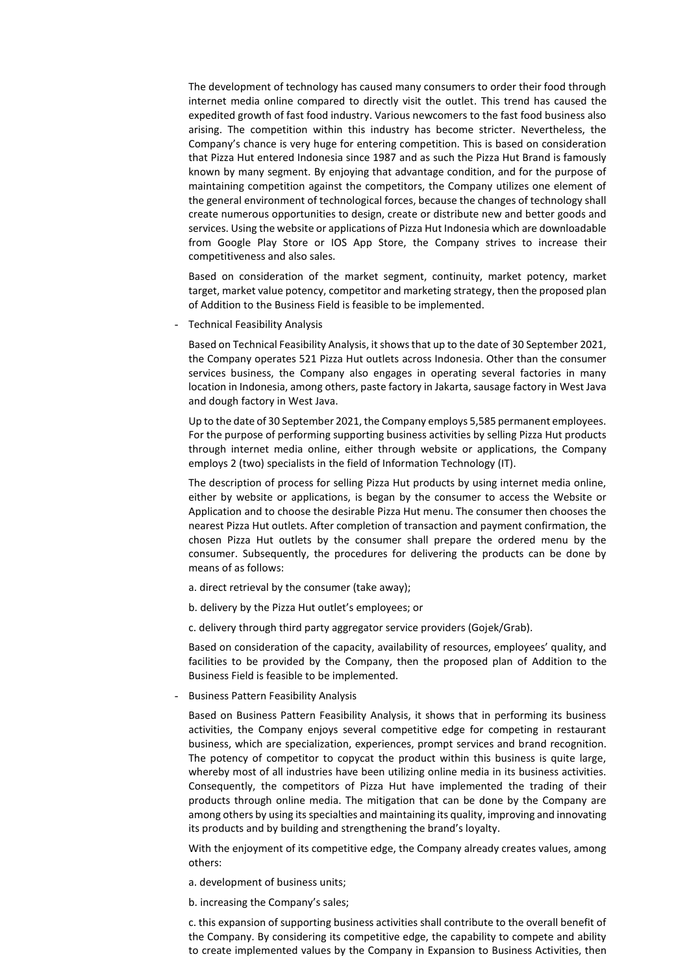The development of technology has caused many consumers to order their food through internet media online compared to directly visit the outlet. This trend has caused the expedited growth of fast food industry. Various newcomers to the fast food business also arising. The competition within this industry has become stricter. Nevertheless, the Company's chance is very huge for entering competition. This is based on consideration that Pizza Hut entered Indonesia since 1987 and as such the Pizza Hut Brand is famously known by many segment. By enjoying that advantage condition, and for the purpose of maintaining competition against the competitors, the Company utilizes one element of the general environment of technological forces, because the changes of technology shall create numerous opportunities to design, create or distribute new and better goods and services. Using the website or applications of Pizza Hut Indonesia which are downloadable from Google Play Store or IOS App Store, the Company strives to increase their competitiveness and also sales.

Based on consideration of the market segment, continuity, market potency, market target, market value potency, competitor and marketing strategy, then the proposed plan of Addition to the Business Field is feasible to be implemented.

- Technical Feasibility Analysis

Based on Technical Feasibility Analysis, it shows that up to the date of 30 September 2021, the Company operates 521 Pizza Hut outlets across Indonesia. Other than the consumer services business, the Company also engages in operating several factories in many location in Indonesia, among others, paste factory in Jakarta, sausage factory in West Java and dough factory in West Java.

Up to the date of 30 September 2021, the Company employs 5,585 permanent employees. For the purpose of performing supporting business activities by selling Pizza Hut products through internet media online, either through website or applications, the Company employs 2 (two) specialists in the field of Information Technology (IT).

The description of process for selling Pizza Hut products by using internet media online, either by website or applications, is began by the consumer to access the Website or Application and to choose the desirable Pizza Hut menu. The consumer then chooses the nearest Pizza Hut outlets. After completion of transaction and payment confirmation, the chosen Pizza Hut outlets by the consumer shall prepare the ordered menu by the consumer. Subsequently, the procedures for delivering the products can be done by means of as follows:

- a. direct retrieval by the consumer (take away);
- b. delivery by the Pizza Hut outlet's employees; or
- c. delivery through third party aggregator service providers (Gojek/Grab).

Based on consideration of the capacity, availability of resources, employees' quality, and facilities to be provided by the Company, then the proposed plan of Addition to the Business Field is feasible to be implemented.

- Business Pattern Feasibility Analysis

Based on Business Pattern Feasibility Analysis, it shows that in performing its business activities, the Company enjoys several competitive edge for competing in restaurant business, which are specialization, experiences, prompt services and brand recognition. The potency of competitor to copycat the product within this business is quite large, whereby most of all industries have been utilizing online media in its business activities. Consequently, the competitors of Pizza Hut have implemented the trading of their products through online media. The mitigation that can be done by the Company are among others by using its specialties and maintaining its quality, improving and innovating its products and by building and strengthening the brand's loyalty.

With the enjoyment of its competitive edge, the Company already creates values, among others:

a. development of business units;

b. increasing the Company's sales;

c. this expansion of supporting business activities shall contribute to the overall benefit of the Company. By considering its competitive edge, the capability to compete and ability to create implemented values by the Company in Expansion to Business Activities, then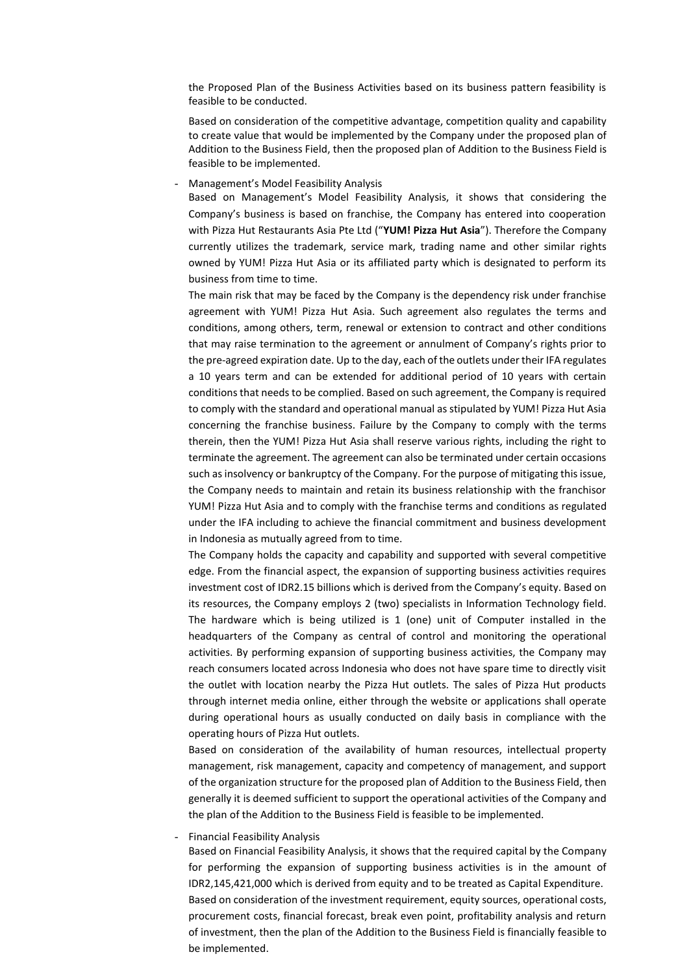the Proposed Plan of the Business Activities based on its business pattern feasibility is feasible to be conducted.

Based on consideration of the competitive advantage, competition quality and capability to create value that would be implemented by the Company under the proposed plan of Addition to the Business Field, then the proposed plan of Addition to the Business Field is feasible to be implemented.

- Management's Model Feasibility Analysis

Based on Management's Model Feasibility Analysis, it shows that considering the Company's business is based on franchise, the Company has entered into cooperation with Pizza Hut Restaurants Asia Pte Ltd ("**YUM! Pizza Hut Asia**"). Therefore the Company currently utilizes the trademark, service mark, trading name and other similar rights owned by YUM! Pizza Hut Asia or its affiliated party which is designated to perform its business from time to time.

The main risk that may be faced by the Company is the dependency risk under franchise agreement with YUM! Pizza Hut Asia. Such agreement also regulates the terms and conditions, among others, term, renewal or extension to contract and other conditions that may raise termination to the agreement or annulment of Company's rights prior to the pre-agreed expiration date. Up to the day, each of the outlets under their IFA regulates a 10 years term and can be extended for additional period of 10 years with certain conditions that needs to be complied. Based on such agreement, the Company is required to comply with the standard and operational manual as stipulated by YUM! Pizza Hut Asia concerning the franchise business. Failure by the Company to comply with the terms therein, then the YUM! Pizza Hut Asia shall reserve various rights, including the right to terminate the agreement. The agreement can also be terminated under certain occasions such as insolvency or bankruptcy of the Company. For the purpose of mitigating this issue, the Company needs to maintain and retain its business relationship with the franchisor YUM! Pizza Hut Asia and to comply with the franchise terms and conditions as regulated under the IFA including to achieve the financial commitment and business development in Indonesia as mutually agreed from to time.

The Company holds the capacity and capability and supported with several competitive edge. From the financial aspect, the expansion of supporting business activities requires investment cost of IDR2.15 billions which is derived from the Company's equity. Based on its resources, the Company employs 2 (two) specialists in Information Technology field. The hardware which is being utilized is 1 (one) unit of Computer installed in the headquarters of the Company as central of control and monitoring the operational activities. By performing expansion of supporting business activities, the Company may reach consumers located across Indonesia who does not have spare time to directly visit the outlet with location nearby the Pizza Hut outlets. The sales of Pizza Hut products through internet media online, either through the website or applications shall operate during operational hours as usually conducted on daily basis in compliance with the operating hours of Pizza Hut outlets.

Based on consideration of the availability of human resources, intellectual property management, risk management, capacity and competency of management, and support of the organization structure for the proposed plan of Addition to the Business Field, then generally it is deemed sufficient to support the operational activities of the Company and the plan of the Addition to the Business Field is feasible to be implemented.

- Financial Feasibility Analysis

Based on Financial Feasibility Analysis, it shows that the required capital by the Company for performing the expansion of supporting business activities is in the amount of IDR2,145,421,000 which is derived from equity and to be treated as Capital Expenditure. Based on consideration of the investment requirement, equity sources, operational costs, procurement costs, financial forecast, break even point, profitability analysis and return of investment, then the plan of the Addition to the Business Field is financially feasible to be implemented.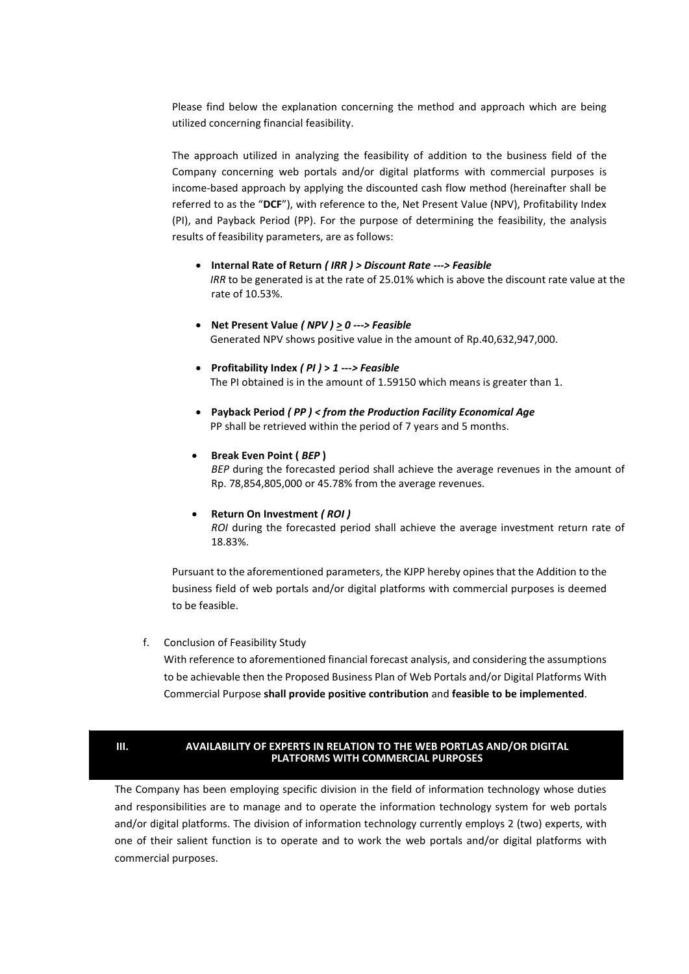Please find below the explanation concerning the method and approach which are being utilized concerning financial feasibility.

The approach utilized in analyzing the feasibility of addition to the business field of the Company concerning web portals and/or digital platforms with commercial purposes is income-based approach by applying the discounted cash flow method (hereinafter shall be referred to as the "**DCF**"), with reference to the, Net Present Value (NPV), Profitability Index (PI), and Payback Period (PP). For the purpose of determining the feasibility, the analysis results of feasibility parameters, are as follows:

- **Internal Rate of Return** *( IRR ) > Discount Rate ---> Feasible IRR* to be generated is at the rate of 25.01% which is above the discount rate value at the rate of 10.53%.
- **Net Present Value** *( NPV ) > 0 ---> Feasible* Generated NPV shows positive value in the amount of Rp.40,632,947,000.
- **Profitability Index** *( PI )* **>** *1 ---> Feasible* The PI obtained is in the amount of 1.59150 which means is greater than 1.
- **Payback Period** *( PP ) < from the Production Facility Economical Age* PP shall be retrieved within the period of 7 years and 5 months.

### • **Break Even Point (** *BEP* **)**

*BEP* during the forecasted period shall achieve the average revenues in the amount of Rp. 78,854,805,000 or 45.78% from the average revenues.

#### • **Return On Investment** *( ROI )*

*ROI* during the forecasted period shall achieve the average investment return rate of 18.83%.

Pursuant to the aforementioned parameters, the KJPP hereby opines that the Addition to the business field of web portals and/or digital platforms with commercial purposes is deemed to be feasible.

# f. Conclusion of Feasibility Study

With reference to aforementioned financial forecast analysis, and considering the assumptions to be achievable then the Proposed Business Plan of Web Portals and/or Digital Platforms With Commercial Purpose **shall provide positive contribution** and **feasible to be implemented**.

#### **AVAILABILITY OF EXPERTS IN RELATION TO THE WEB PORTLAS AND/OR DIGITAL PLATFORMS WITH COMMERCIAL PURPOSES III.**

The Company has been employing specific division in the field of information technology whose duties and responsibilities are to manage and to operate the information technology system for web portals and/or digital platforms. The division of information technology currently employs 2 (two) experts, with one of their salient function is to operate and to work the web portals and/or digital platforms with commercial purposes.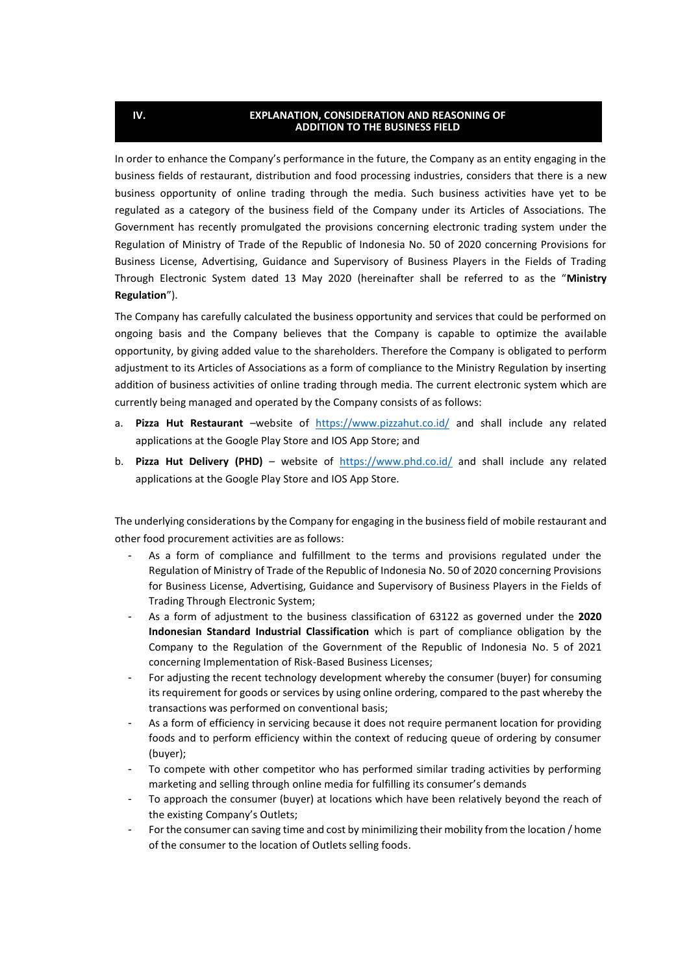#### **EXPLANATION, CONSIDERATION AND REASONING OF ADDITION TO THE BUSINESS FIELD**

**U**

In order to enhance the Company's performance in the future, the Company as an entity engaging in the business fields of restaurant, distribution and food processing industries, considers that there is a new business opportunity of online trading through the media. Such business activities have yet to be regulated as a category of the business field of the Company under its Articles of Associations. The Government has recently promulgated the provisions concerning electronic trading system under the Regulation of Ministry of Trade of the Republic of Indonesia No. 50 of 2020 concerning Provisions for Business License, Advertising, Guidance and Supervisory of Business Players in the Fields of Trading Through Electronic System dated 13 May 2020 (hereinafter shall be referred to as the "**Ministry Regulation**").

The Company has carefully calculated the business opportunity and services that could be performed on ongoing basis and the Company believes that the Company is capable to optimize the available opportunity, by giving added value to the shareholders. Therefore the Company is obligated to perform adjustment to its Articles of Associations as a form of compliance to the Ministry Regulation by inserting addition of business activities of online trading through media. The current electronic system which are currently being managed and operated by the Company consists of as follows:

- a. **Pizza Hut Restaurant** –website of <https://www.pizzahut.co.id/> and shall include any related applications at the Google Play Store and IOS App Store; and
- b. **Pizza Hut Delivery (PHD)** website of <https://www.phd.co.id/> and shall include any related applications at the Google Play Store and IOS App Store.

The underlying considerations by the Company for engaging in the business field of mobile restaurant and other food procurement activities are as follows:

- As a form of compliance and fulfillment to the terms and provisions regulated under the Regulation of Ministry of Trade of the Republic of Indonesia No. 50 of 2020 concerning Provisions for Business License, Advertising, Guidance and Supervisory of Business Players in the Fields of Trading Through Electronic System;
- As a form of adjustment to the business classification of 63122 as governed under the **2020 Indonesian Standard Industrial Classification** which is part of compliance obligation by the Company to the Regulation of the Government of the Republic of Indonesia No. 5 of 2021 concerning Implementation of Risk-Based Business Licenses;
- For adjusting the recent technology development whereby the consumer (buyer) for consuming its requirement for goods or services by using online ordering, compared to the past whereby the transactions was performed on conventional basis;
- As a form of efficiency in servicing because it does not require permanent location for providing foods and to perform efficiency within the context of reducing queue of ordering by consumer (buyer);
- To compete with other competitor who has performed similar trading activities by performing marketing and selling through online media for fulfilling its consumer's demands
- To approach the consumer (buyer) at locations which have been relatively beyond the reach of the existing Company's Outlets;
- For the consumer can saving time and cost by minimilizing their mobility from the location / home of the consumer to the location of Outlets selling foods.

**IV.**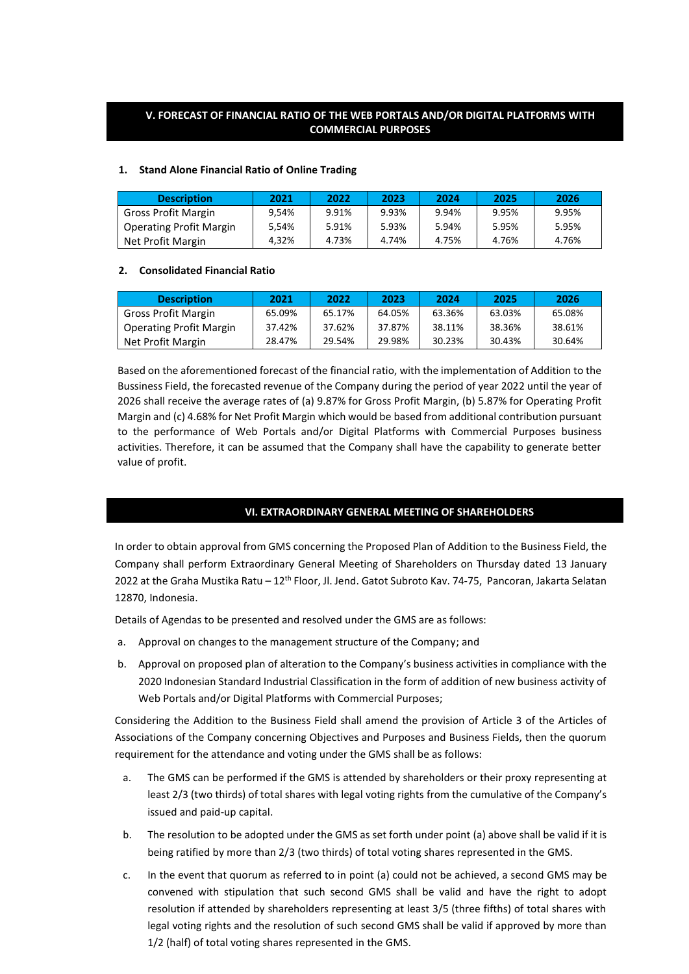# **V. FORECAST OF FINANCIAL RATIO OF THE WEB PORTALS AND/OR DIGITAL PLATFORMS WITH COMMERCIAL PURPOSES**

# **1. Stand Alone Financial Ratio of Online Trading**

| <b>Description</b>             | 2021  | 2022  | 2023  | 2024  | 2025  | 2026  |
|--------------------------------|-------|-------|-------|-------|-------|-------|
| Gross Profit Margin            | 9.54% | 9.91% | 9.93% | 9.94% | 9.95% | 9.95% |
| <b>Operating Profit Margin</b> | 5.54% | 5.91% | 5.93% | 5.94% | 5.95% | 5.95% |
| Net Profit Margin              | 4.32% | 4.73% | 4.74% | 4.75% | 4.76% | 4.76% |

# **2. Consolidated Financial Ratio**

| <b>Description</b>             | 2021   | 2022   | 2023   | 2024   | 2025   | 2026   |
|--------------------------------|--------|--------|--------|--------|--------|--------|
| Gross Profit Margin            | 65.09% | 65.17% | 64.05% | 63.36% | 63.03% | 65.08% |
| <b>Operating Profit Margin</b> | 37.42% | 37.62% | 37.87% | 38.11% | 38.36% | 38.61% |
| Net Profit Margin              | 28.47% | 29.54% | 29.98% | 30.23% | 30.43% | 30.64% |

Based on the aforementioned forecast of the financial ratio, with the implementation of Addition to the Bussiness Field, the forecasted revenue of the Company during the period of year 2022 until the year of 2026 shall receive the average rates of (a) 9.87% for Gross Profit Margin, (b) 5.87% for Operating Profit Margin and (c) 4.68% for Net Profit Margin which would be based from additional contribution pursuant to the performance of Web Portals and/or Digital Platforms with Commercial Purposes business activities. Therefore, it can be assumed that the Company shall have the capability to generate better value of profit.

# **VI. EXTRAORDINARY GENERAL MEETING OF SHAREHOLDERS**

In order to obtain approval from GMS concerning the Proposed Plan of Addition to the Business Field, the Company shall perform Extraordinary General Meeting of Shareholders on Thursday dated 13 January 2022 at the Graha Mustika Ratu – 12th Floor, Jl. Jend. Gatot Subroto Kav. 74-75, Pancoran, Jakarta Selatan 12870, Indonesia.

Details of Agendas to be presented and resolved under the GMS are as follows:

- a. Approval on changes to the management structure of the Company; and
- b. Approval on proposed plan of alteration to the Company's business activities in compliance with the 2020 Indonesian Standard Industrial Classification in the form of addition of new business activity of Web Portals and/or Digital Platforms with Commercial Purposes;

Considering the Addition to the Business Field shall amend the provision of Article 3 of the Articles of Associations of the Company concerning Objectives and Purposes and Business Fields, then the quorum requirement for the attendance and voting under the GMS shall be as follows:

- a. The GMS can be performed if the GMS is attended by shareholders or their proxy representing at least 2/3 (two thirds) of total shares with legal voting rights from the cumulative of the Company's issued and paid-up capital.
- b. The resolution to be adopted under the GMS as set forth under point (a) above shall be valid if it is being ratified by more than 2/3 (two thirds) of total voting shares represented in the GMS.
- c. In the event that quorum as referred to in point (a) could not be achieved, a second GMS may be convened with stipulation that such second GMS shall be valid and have the right to adopt resolution if attended by shareholders representing at least 3/5 (three fifths) of total shares with legal voting rights and the resolution of such second GMS shall be valid if approved by more than 1/2 (half) of total voting shares represented in the GMS.